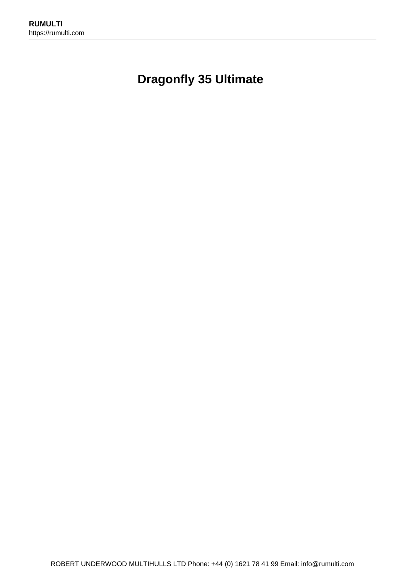# **Dragonfly 35 Ultimate**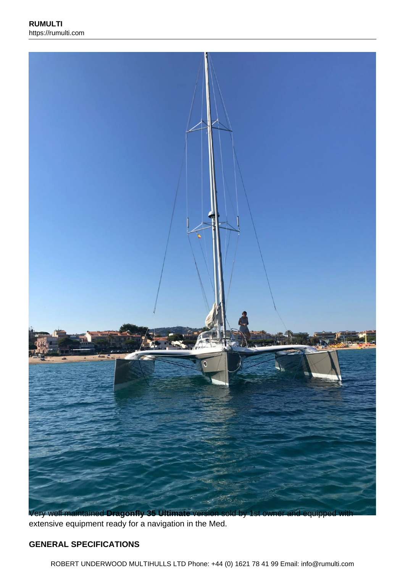

extensive equipment ready for a navigation in the Med.

#### **GENERAL SPECIFICATIONS**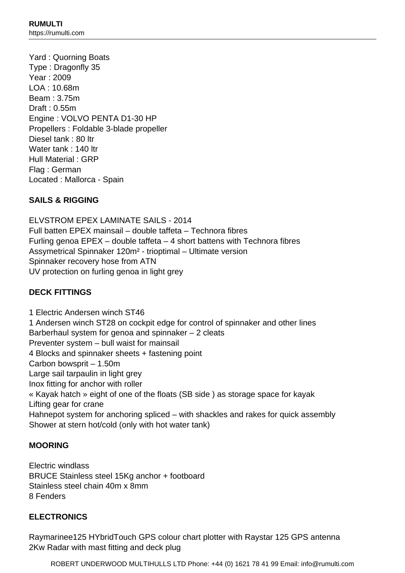Yard : Quorning Boats Type : Dragonfly 35 Year : 2009 LOA : 10.68m Beam : 3.75m Draft : 0.55m Engine : VOLVO PENTA D1-30 HP Propellers : Foldable 3-blade propeller Diesel tank : 80 ltr Water tank : 140 ltr Hull Material : GRP Flag : German Located : Mallorca - Spain

### **SAILS & RIGGING**

ELVSTROM EPEX LAMINATE SAILS - 2014 Full batten EPEX mainsail – double taffeta – Technora fibres Furling genoa EPEX – double taffeta – 4 short battens with Technora fibres Assymetrical Spinnaker 120m² - trioptimal – Ultimate version Spinnaker recovery hose from ATN UV protection on furling genoa in light grey

## **DECK FITTINGS**

1 Electric Andersen winch ST46 1 Andersen winch ST28 on cockpit edge for control of spinnaker and other lines Barberhaul system for genoa and spinnaker – 2 cleats Preventer system – bull waist for mainsail 4 Blocks and spinnaker sheets + fastening point Carbon bowsprit – 1.50m Large sail tarpaulin in light grey Inox fitting for anchor with roller « Kayak hatch » eight of one of the floats (SB side ) as storage space for kayak Lifting gear for crane Hahnepot system for anchoring spliced – with shackles and rakes for quick assembly Shower at stern hot/cold (only with hot water tank)

#### **MOORING**

Electric windlass BRUCE Stainless steel 15Kg anchor + footboard Stainless steel chain 40m x 8mm 8 Fenders

#### **ELECTRONICS**

Raymarinee125 HYbridTouch GPS colour chart plotter with Raystar 125 GPS antenna 2Kw Radar with mast fitting and deck plug

ROBERT UNDERWOOD MULTIHULLS LTD Phone: +44 (0) 1621 78 41 99 Email: info@rumulti.com